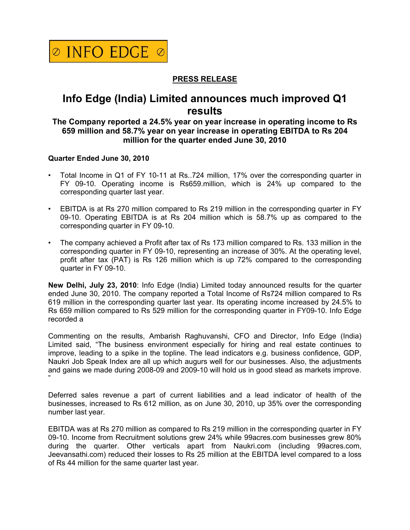

## **PRESS RELEASE**

# **Info Edge (India) Limited announces much improved Q1 results**

### **The Company reported a 24.5% year on year increase in operating income to Rs 659 million and 58.7% year on year increase in operating EBITDA to Rs 204 million for the quarter ended June 30, 2010**

#### **Quarter Ended June 30, 2010**

- Total Income in Q1 of FY 10-11 at Rs..724 million, 17% over the corresponding quarter in FY 09-10. Operating income is Rs659.million, which is 24% up compared to the corresponding quarter last year.
- EBITDA is at Rs 270 million compared to Rs 219 million in the corresponding quarter in FY 09-10. Operating EBITDA is at Rs 204 million which is 58.7% up as compared to the corresponding quarter in FY 09-10.
- The company achieved a Profit after tax of Rs 173 million compared to Rs. 133 million in the corresponding quarter in FY 09-10, representing an increase of 30%. At the operating level, profit after tax (PAT) is Rs 126 million which is up 72% compared to the corresponding quarter in FY 09-10.

**New Delhi, July 23, 2010**: Info Edge (India) Limited today announced results for the quarter ended June 30, 2010. The company reported a Total Income of Rs724 million compared to Rs 619 million in the corresponding quarter last year. Its operating income increased by 24.5% to Rs 659 million compared to Rs 529 million for the corresponding quarter in FY09-10. Info Edge recorded a

Commenting on the results, Ambarish Raghuvanshi, CFO and Director, Info Edge (India) Limited said, "The business environment especially for hiring and real estate continues to improve, leading to a spike in the topline. The lead indicators e.g. business confidence, GDP, Naukri Job Speak Index are all up which augurs well for our businesses. Also, the adjustments and gains we made during 2008-09 and 2009-10 will hold us in good stead as markets improve. "

Deferred sales revenue a part of current liabilities and a lead indicator of health of the businesses, increased to Rs 612 million, as on June 30, 2010, up 35% over the corresponding number last year.

EBITDA was at Rs 270 million as compared to Rs 219 million in the corresponding quarter in FY 09-10. Income from Recruitment solutions grew 24% while 99acres.com businesses grew 80% during the quarter. Other verticals apart from Naukri.com (including 99acres.com, Jeevansathi.com) reduced their losses to Rs 25 million at the EBITDA level compared to a loss of Rs 44 million for the same quarter last year.